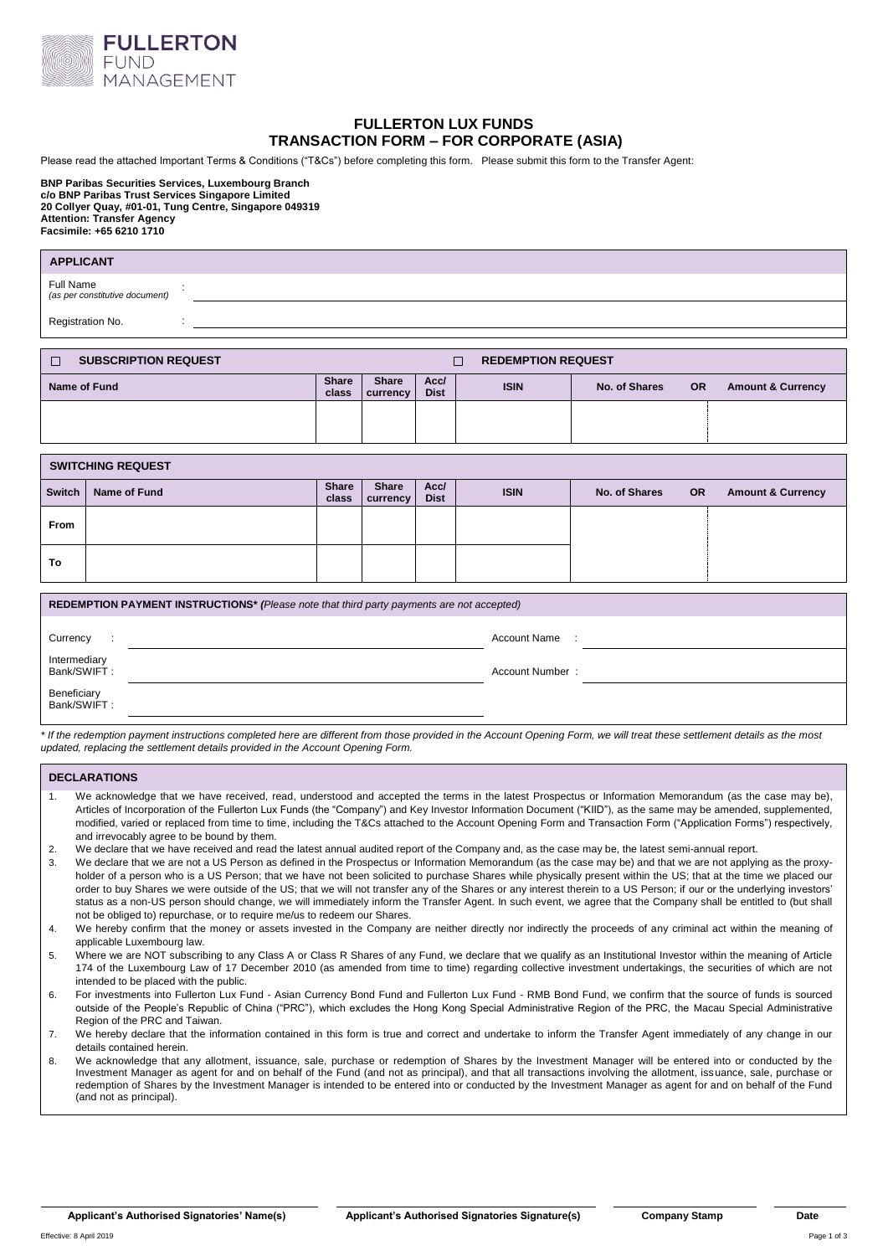

# **FULLERTON LUX FUNDS TRANSACTION FORM – FOR CORPORATE (ASIA)**

Please read the attached Important Terms & Conditions ("T&Cs") before completing this form. Please submit this form to the Transfer Agent:

#### **BNP Paribas Securities Services, Luxembourg Branch c/o BNP Paribas Trust Services Singapore Limited 20 Collyer Quay, #01-01, Tung Centre, Singapore 049319 Attention: Transfer Agency Facsimile: +65 6210 1710**

| <b>APPLICANT</b>                            |                                                   |                     |             |               |           |                              |
|---------------------------------------------|---------------------------------------------------|---------------------|-------------|---------------|-----------|------------------------------|
| Full Name<br>(as per constitutive document) |                                                   |                     |             |               |           |                              |
| Registration No.                            |                                                   |                     |             |               |           |                              |
|                                             |                                                   |                     |             |               |           |                              |
| <b>SUBSCRIPTION REQUEST</b>                 | <b>REDEMPTION REQUEST</b><br>П                    |                     |             |               |           |                              |
| Name of Fund                                | <b>Share</b><br><b>Share</b><br>class<br>currency | Acc/<br><b>Dist</b> | <b>ISIN</b> | No. of Shares | <b>OR</b> | <b>Amount &amp; Currency</b> |

## **SWITCHING REQUEST**

| <b>Switch</b> | Name of Fund | Share<br>class | Share<br><b>currency</b> | Acc/<br><b>Dist</b> | <b>ISIN</b> | No. of Shares<br><b>OR</b> | <b>Amount &amp; Currency</b> |
|---------------|--------------|----------------|--------------------------|---------------------|-------------|----------------------------|------------------------------|
| From          |              |                |                          |                     |             |                            |                              |
| To            |              |                |                          |                     |             |                            |                              |

| REDEMPTION PAYMENT INSTRUCTIONS* (Please note that third party payments are not accepted) |  |                     |  |  |  |
|-------------------------------------------------------------------------------------------|--|---------------------|--|--|--|
| Currency                                                                                  |  | <b>Account Name</b> |  |  |  |
| Intermediary<br>Bank/SWIFT:                                                               |  | Account Number:     |  |  |  |
| Beneficiary<br>Bank/SWIFT:                                                                |  |                     |  |  |  |

*\* If the redemption payment instructions completed here are different from those provided in the Account Opening Form, we will treat these settlement details as the most updated, replacing the settlement details provided in the Account Opening Form.*

#### **DECLARATIONS**

- 1. We acknowledge that we have received, read, understood and accepted the terms in the latest Prospectus or Information Memorandum (as the case may be), Articles of Incorporation of the Fullerton Lux Funds (the "Company") and Key Investor Information Document ("KIID"), as the same may be amended, supplemented, modified, varied or replaced from time to time, including the T&Cs attached to the Account Opening Form and Transaction Form ("Application Forms") respectively, and irrevocably agree to be bound by them.
- 2. We declare that we have received and read the latest annual audited report of the Company and, as the case may be, the latest semi-annual report.
- 3. We declare that we are not a US Person as defined in the Prospectus or Information Memorandum (as the case may be) and that we are not applying as the proxyholder of a person who is a US Person; that we have not been solicited to purchase Shares while physically present within the US; that at the time we placed our order to buy Shares we were outside of the US; that we will not transfer any of the Shares or any interest therein to a US Person; if our or the underlying investors' status as a non-US person should change, we will immediately inform the Transfer Agent. In such event, we agree that the Company shall be entitled to (but shall not be obliged to) repurchase, or to require me/us to redeem our Shares.
- 4. We hereby confirm that the money or assets invested in the Company are neither directly nor indirectly the proceeds of any criminal act within the meaning of applicable Luxembourg law.
- 5. Where we are NOT subscribing to any Class A or Class R Shares of any Fund, we declare that we qualify as an Institutional Investor within the meaning of Article 174 of the Luxembourg Law of 17 December 2010 (as amended from time to time) regarding collective investment undertakings, the securities of which are not intended to be placed with the public.
- 6. For investments into Fullerton Lux Fund Asian Currency Bond Fund and Fullerton Lux Fund RMB Bond Fund, we confirm that the source of funds is sourced outside of the People's Republic of China ("PRC"), which excludes the Hong Kong Special Administrative Region of the PRC, the Macau Special Administrative Region of the PRC and Taiwan.
- 7. We hereby declare that the information contained in this form is true and correct and undertake to inform the Transfer Agent immediately of any change in our details contained herein.
- 8. We acknowledge that any allotment, issuance, sale, purchase or redemption of Shares by the Investment Manager will be entered into or conducted by the Investment Manager as agent for and on behalf of the Fund (and not as principal), and that all transactions involving the allotment, issuance, sale, purchase or redemption of Shares by the Investment Manager is intended to be entered into or conducted by the Investment Manager as agent for and on behalf of the Fund (and not as principal).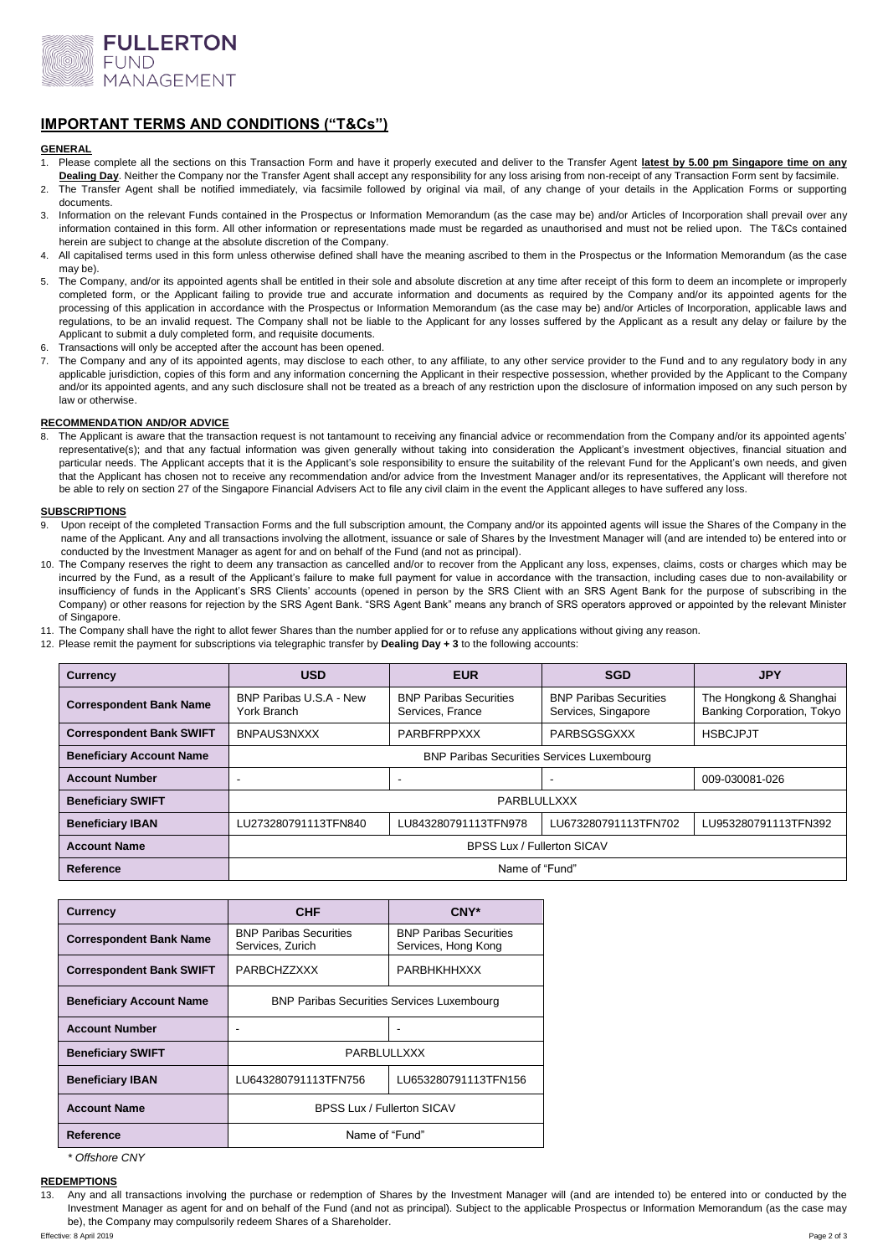

# **IMPORTANT TERMS AND CONDITIONS ("T&Cs")**

#### **GENERAL**

- 1. Please complete all the sections on this Transaction Form and have it properly executed and deliver to the Transfer Agent **latest by 5.00 pm Singapore time on any**  Dealing Day. Neither the Company nor the Transfer Agent shall accept any responsibility for any loss arising from non-receipt of any Transaction Form sent by facsimile.
- 2. The Transfer Agent shall be notified immediately, via facsimile followed by original via mail, of any change of your details in the Application Forms or supporting documents.
- 3. Information on the relevant Funds contained in the Prospectus or Information Memorandum (as the case may be) and/or Articles of Incorporation shall prevail over any information contained in this form. All other information or representations made must be regarded as unauthorised and must not be relied upon. The T&Cs contained herein are subject to change at the absolute discretion of the Company.
- 4. All capitalised terms used in this form unless otherwise defined shall have the meaning ascribed to them in the Prospectus or the Information Memorandum (as the case may be).
- 5. The Company, and/or its appointed agents shall be entitled in their sole and absolute discretion at any time after receipt of this form to deem an incomplete or improperly completed form, or the Applicant failing to provide true and accurate information and documents as required by the Company and/or its appointed agents for the processing of this application in accordance with the Prospectus or Information Memorandum (as the case may be) and/or Articles of Incorporation, applicable laws and regulations, to be an invalid request. The Company shall not be liable to the Applicant for any losses suffered by the Applicant as a result any delay or failure by the Applicant to submit a duly completed form, and requisite documents.
- Transactions will only be accepted after the account has been opened.
- The Company and any of its appointed agents, may disclose to each other, to any affiliate, to any other service provider to the Fund and to any regulatory body in any applicable jurisdiction, copies of this form and any information concerning the Applicant in their respective possession, whether provided by the Applicant to the Company and/or its appointed agents, and any such disclosure shall not be treated as a breach of any restriction upon the disclosure of information imposed on any such person by law or otherwise.

#### **RECOMMENDATION AND/OR ADVICE**

8. The Applicant is aware that the transaction request is not tantamount to receiving any financial advice or recommendation from the Company and/or its appointed agents' representative(s); and that any factual information was given generally without taking into consideration the Applicant's investment objectives, financial situation and particular needs. The Applicant accepts that it is the Applicant's sole responsibility to ensure the suitability of the relevant Fund for the Applicant's own needs, and given that the Applicant has chosen not to receive any recommendation and/or advice from the Investment Manager and/or its representatives, the Applicant will therefore not be able to rely on section 27 of the Singapore Financial Advisers Act to file any civil claim in the event the Applicant alleges to have suffered any loss.

### **SUBSCRIPTIONS**

- Upon receipt of the completed Transaction Forms and the full subscription amount, the Company and/or its appointed agents will issue the Shares of the Company in the name of the Applicant. Any and all transactions involving the allotment, issuance or sale of Shares by the Investment Manager will (and are intended to) be entered into or conducted by the Investment Manager as agent for and on behalf of the Fund (and not as principal).
- 10. The Company reserves the right to deem any transaction as cancelled and/or to recover from the Applicant any loss, expenses, claims, costs or charges which may be incurred by the Fund, as a result of the Applicant's failure to make full payment for value in accordance with the transaction, including cases due to non-availability or insufficiency of funds in the Applicant's SRS Clients' accounts (opened in person by the SRS Client with an SRS Agent Bank for the purpose of subscribing in the Company) or other reasons for rejection by the SRS Agent Bank. "SRS Agent Bank" means any branch of SRS operators approved or appointed by the relevant Minister of Singapore.
- 11. The Company shall have the right to allot fewer Shares than the number applied for or to refuse any applications without giving any reason.
- 12. Please remit the payment for subscriptions via telegraphic transfer by **Dealing Day + 3** to the following accounts:

| Currency                        | <b>USD</b>                                        | <b>EUR</b>                                        | <b>SGD</b>                                           | <b>JPY</b>                                            |  |
|---------------------------------|---------------------------------------------------|---------------------------------------------------|------------------------------------------------------|-------------------------------------------------------|--|
| <b>Correspondent Bank Name</b>  | BNP Paribas U.S.A - New<br>York Branch            | <b>BNP Paribas Securities</b><br>Services, France | <b>BNP Paribas Securities</b><br>Services, Singapore | The Hongkong & Shanghai<br>Banking Corporation, Tokyo |  |
| <b>Correspondent Bank SWIFT</b> | BNPAUS3NXXX                                       | PARBFRPPXXX                                       | PARBSGSGXXX                                          | <b>HSBCJPJT</b>                                       |  |
| <b>Beneficiary Account Name</b> | <b>BNP Paribas Securities Services Luxembourg</b> |                                                   |                                                      |                                                       |  |
| <b>Account Number</b>           |                                                   | $\overline{\phantom{a}}$                          |                                                      | 009-030081-026                                        |  |
| <b>Beneficiary SWIFT</b>        | PARBLULLXXX                                       |                                                   |                                                      |                                                       |  |
| <b>Beneficiary IBAN</b>         | LU273280791113TFN840                              | LU843280791113TFN978                              | LU673280791113TFN702                                 | LU953280791113TFN392                                  |  |
| <b>Account Name</b>             | <b>BPSS Lux / Fullerton SICAV</b>                 |                                                   |                                                      |                                                       |  |
| Reference                       | Name of "Fund"                                    |                                                   |                                                      |                                                       |  |

| <b>Currency</b>                 | <b>CHF</b>                                        | CNY*                                                 |  |
|---------------------------------|---------------------------------------------------|------------------------------------------------------|--|
| <b>Correspondent Bank Name</b>  | <b>BNP Paribas Securities</b><br>Services, Zurich | <b>BNP Paribas Securities</b><br>Services, Hong Kong |  |
| <b>Correspondent Bank SWIFT</b> | PARBCHZZXXX                                       | <b>PARBHKHHXXX</b>                                   |  |
| <b>Beneficiary Account Name</b> | <b>BNP Paribas Securities Services Luxembourg</b> |                                                      |  |
| <b>Account Number</b>           |                                                   |                                                      |  |
| <b>Beneficiary SWIFT</b>        | PARBLULLXXX                                       |                                                      |  |
| <b>Beneficiary IBAN</b>         | LU643280791113TFN756                              | LU653280791113TFN156                                 |  |
| <b>Account Name</b>             | <b>BPSS Lux / Fullerton SICAV</b>                 |                                                      |  |
| Reference                       | Name of "Fund"                                    |                                                      |  |

*\* Offshore CNY* 

## **REDEMPTIONS**

<sup>13.</sup> Any and all transactions involving the purchase or redemption of Shares by the Investment Manager will (and are intended to) be entered into or conducted by the Investment Manager as agent for and on behalf of the Fund (and not as principal). Subject to the applicable Prospectus or Information Memorandum (as the case may be), the Company may compulsorily redeem Shares of a Shareholder.